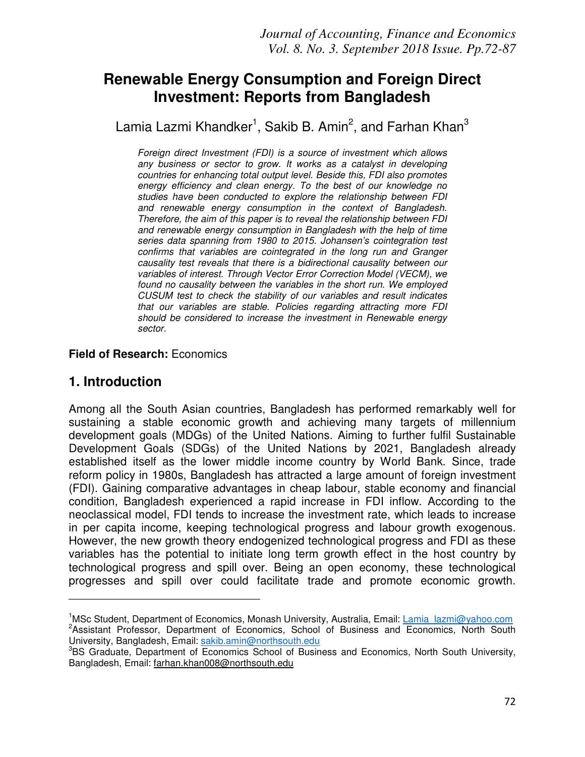# **Renewable Energy Consumption and Foreign Direct Investment: Reports from Bangladesh**

Lamia Lazmi Khandker<sup>1</sup>, Sakib B. Amin<sup>2</sup>, and Farhan Khan<sup>3</sup>

*Foreign direct Investment (FDI) is a source of investment which allows any business or sector to grow. It works as a catalyst in developing countries for enhancing total output level. Beside this, FDI also promotes energy efficiency and clean energy. To the best of our knowledge no studies have been conducted to explore the relationship between FDI and renewable energy consumption in the context of Bangladesh. Therefore, the aim of this paper is to reveal the relationship between FDI and renewable energy consumption in Bangladesh with the help of time series data spanning from 1980 to 2015. Johansen's cointegration test confirms that variables are cointegrated in the long run and Granger causality test reveals that there is a bidirectional causality between our variables of interest. Through Vector Error Correction Model (VECM), we found no causality between the variables in the short run. We employed CUSUM test to check the stability of our variables and result indicates that our variables are stable. Policies regarding attracting more FDI should be considered to increase the investment in Renewable energy sector.* 

#### **Field of Research:** Economics

\_\_\_\_\_\_\_\_\_\_\_\_\_\_\_\_\_\_\_\_\_\_\_\_\_\_\_\_\_\_

#### **1. Introduction**

Among all the South Asian countries, Bangladesh has performed remarkably well for sustaining a stable economic growth and achieving many targets of millennium development goals (MDGs) of the United Nations. Aiming to further fulfil Sustainable Development Goals (SDGs) of the United Nations by 2021, Bangladesh already established itself as the lower middle income country by World Bank. Since, trade reform policy in 1980s, Bangladesh has attracted a large amount of foreign investment (FDI). Gaining comparative advantages in cheap labour, stable economy and financial condition, Bangladesh experienced a rapid increase in FDI inflow. According to the neoclassical model, FDI tends to increase the investment rate, which leads to increase in per capita income, keeping technological progress and labour growth exogenous. However, the new growth theory endogenized technological progress and FDI as these variables has the potential to initiate long term growth effect in the host country by technological progress and spill over. Being an open economy, these technological progresses and spill over could facilitate trade and promote economic growth.

<sup>&</sup>lt;sup>1</sup>MSc Student, Department of Economics, Monash University, Australia, Email: Lamia\_lazmi@yahoo.com <sup>2</sup>Assistant Professor, Department of Economics, School of Business and Economics, North South University, Bangladesh, Email: sakib.amin@northsouth.edu

<sup>&</sup>lt;sup>3</sup>BS Graduate, Department of Economics School of Business and Economics, North South University, Bangladesh, Email: farhan.khan008@northsouth.edu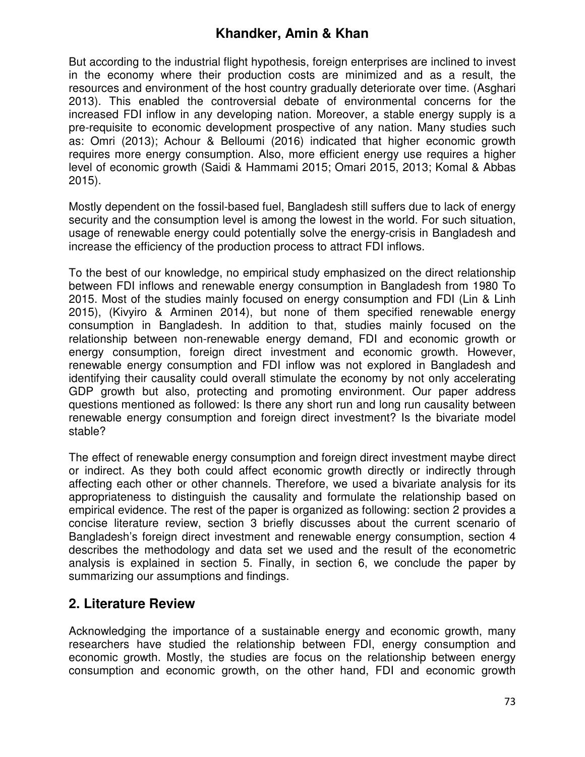But according to the industrial flight hypothesis, foreign enterprises are inclined to invest in the economy where their production costs are minimized and as a result, the resources and environment of the host country gradually deteriorate over time. (Asghari 2013). This enabled the controversial debate of environmental concerns for the increased FDI inflow in any developing nation. Moreover, a stable energy supply is a pre-requisite to economic development prospective of any nation. Many studies such as: Omri (2013); Achour & Belloumi (2016) indicated that higher economic growth requires more energy consumption. Also, more efficient energy use requires a higher level of economic growth (Saidi & Hammami 2015; Omari 2015, 2013; Komal & Abbas 2015).

Mostly dependent on the fossil-based fuel, Bangladesh still suffers due to lack of energy security and the consumption level is among the lowest in the world. For such situation, usage of renewable energy could potentially solve the energy-crisis in Bangladesh and increase the efficiency of the production process to attract FDI inflows.

To the best of our knowledge, no empirical study emphasized on the direct relationship between FDI inflows and renewable energy consumption in Bangladesh from 1980 To 2015. Most of the studies mainly focused on energy consumption and FDI (Lin & Linh 2015), (Kivyiro & Arminen 2014), but none of them specified renewable energy consumption in Bangladesh. In addition to that, studies mainly focused on the relationship between non-renewable energy demand, FDI and economic growth or energy consumption, foreign direct investment and economic growth. However, renewable energy consumption and FDI inflow was not explored in Bangladesh and identifying their causality could overall stimulate the economy by not only accelerating GDP growth but also, protecting and promoting environment. Our paper address questions mentioned as followed: Is there any short run and long run causality between renewable energy consumption and foreign direct investment? Is the bivariate model stable?

The effect of renewable energy consumption and foreign direct investment maybe direct or indirect. As they both could affect economic growth directly or indirectly through affecting each other or other channels. Therefore, we used a bivariate analysis for its appropriateness to distinguish the causality and formulate the relationship based on empirical evidence. The rest of the paper is organized as following: section 2 provides a concise literature review, section 3 briefly discusses about the current scenario of Bangladesh's foreign direct investment and renewable energy consumption, section 4 describes the methodology and data set we used and the result of the econometric analysis is explained in section 5. Finally, in section 6, we conclude the paper by summarizing our assumptions and findings.

## **2. Literature Review**

Acknowledging the importance of a sustainable energy and economic growth, many researchers have studied the relationship between FDI, energy consumption and economic growth. Mostly, the studies are focus on the relationship between energy consumption and economic growth, on the other hand, FDI and economic growth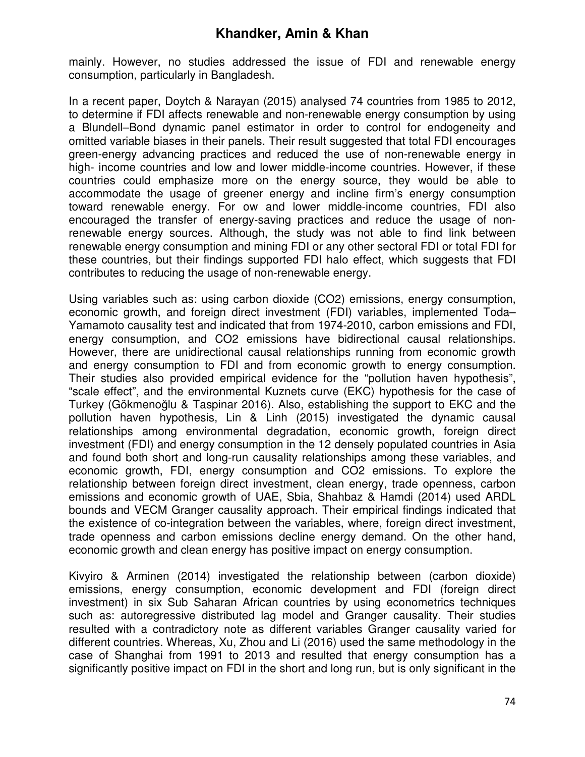mainly. However, no studies addressed the issue of FDI and renewable energy consumption, particularly in Bangladesh.

In a recent paper, Doytch & Narayan (2015) analysed 74 countries from 1985 to 2012, to determine if FDI affects renewable and non-renewable energy consumption by using a Blundell–Bond dynamic panel estimator in order to control for endogeneity and omitted variable biases in their panels. Their result suggested that total FDI encourages green-energy advancing practices and reduced the use of non-renewable energy in high- income countries and low and lower middle-income countries. However, if these countries could emphasize more on the energy source, they would be able to accommodate the usage of greener energy and incline firm's energy consumption toward renewable energy. For ow and lower middle-income countries, FDI also encouraged the transfer of energy-saving practices and reduce the usage of nonrenewable energy sources. Although, the study was not able to find link between renewable energy consumption and mining FDI or any other sectoral FDI or total FDI for these countries, but their findings supported FDI halo effect, which suggests that FDI contributes to reducing the usage of non-renewable energy.

Using variables such as: using carbon dioxide (CO2) emissions, energy consumption, economic growth, and foreign direct investment (FDI) variables, implemented Toda– Yamamoto causality test and indicated that from 1974-2010, carbon emissions and FDI, energy consumption, and CO2 emissions have bidirectional causal relationships. However, there are unidirectional causal relationships running from economic growth and energy consumption to FDI and from economic growth to energy consumption. Their studies also provided empirical evidence for the "pollution haven hypothesis", "scale effect", and the environmental Kuznets curve (EKC) hypothesis for the case of Turkey (Gökmenoğlu & Taspinar 2016). Also, establishing the support to EKC and the pollution haven hypothesis, Lin & Linh (2015) investigated the dynamic causal relationships among environmental degradation, economic growth, foreign direct investment (FDI) and energy consumption in the 12 densely populated countries in Asia and found both short and long-run causality relationships among these variables, and economic growth, FDI, energy consumption and CO2 emissions. To explore the relationship between foreign direct investment, clean energy, trade openness, carbon emissions and economic growth of UAE, Sbia, Shahbaz & Hamdi (2014) used ARDL bounds and VECM Granger causality approach. Their empirical findings indicated that the existence of co-integration between the variables, where, foreign direct investment, trade openness and carbon emissions decline energy demand. On the other hand, economic growth and clean energy has positive impact on energy consumption.

Kivyiro & Arminen (2014) investigated the relationship between (carbon dioxide) emissions, energy consumption, economic development and FDI (foreign direct investment) in six Sub Saharan African countries by using econometrics techniques such as: autoregressive distributed lag model and Granger causality. Their studies resulted with a contradictory note as different variables Granger causality varied for different countries. Whereas, Xu, Zhou and Li (2016) used the same methodology in the case of Shanghai from 1991 to 2013 and resulted that energy consumption has a significantly positive impact on FDI in the short and long run, but is only significant in the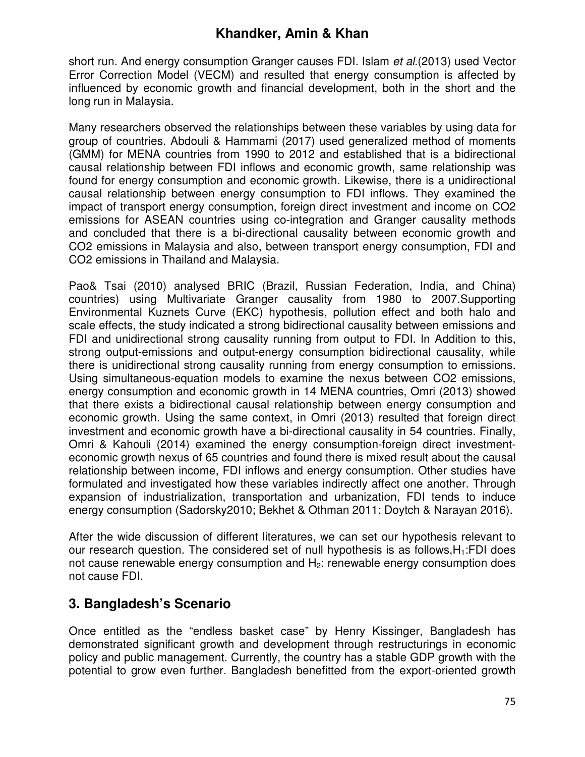short run. And energy consumption Granger causes FDI. Islam *et al*.(2013) used Vector Error Correction Model (VECM) and resulted that energy consumption is affected by influenced by economic growth and financial development, both in the short and the long run in Malaysia.

Many researchers observed the relationships between these variables by using data for group of countries. Abdouli & Hammami (2017) used generalized method of moments (GMM) for MENA countries from 1990 to 2012 and established that is a bidirectional causal relationship between FDI inflows and economic growth, same relationship was found for energy consumption and economic growth. Likewise, there is a unidirectional causal relationship between energy consumption to FDI inflows. They examined the impact of transport energy consumption, foreign direct investment and income on CO2 emissions for ASEAN countries using co-integration and Granger causality methods and concluded that there is a bi-directional causality between economic growth and CO2 emissions in Malaysia and also, between transport energy consumption, FDI and CO2 emissions in Thailand and Malaysia.

Pao& Tsai (2010) analysed BRIC (Brazil, Russian Federation, India, and China) countries) using Multivariate Granger causality from 1980 to 2007.Supporting Environmental Kuznets Curve (EKC) hypothesis, pollution effect and both halo and scale effects, the study indicated a strong bidirectional causality between emissions and FDI and unidirectional strong causality running from output to FDI. In Addition to this, strong output-emissions and output-energy consumption bidirectional causality, while there is unidirectional strong causality running from energy consumption to emissions. Using simultaneous-equation models to examine the nexus between CO2 emissions, energy consumption and economic growth in 14 MENA countries, Omri (2013) showed that there exists a bidirectional causal relationship between energy consumption and economic growth. Using the same context, in Omri (2013) resulted that foreign direct investment and economic growth have a bi-directional causality in 54 countries. Finally, Omri & Kahouli (2014) examined the energy consumption-foreign direct investmenteconomic growth nexus of 65 countries and found there is mixed result about the causal relationship between income, FDI inflows and energy consumption. Other studies have formulated and investigated how these variables indirectly affect one another. Through expansion of industrialization, transportation and urbanization, FDI tends to induce energy consumption (Sadorsky2010; Bekhet & Othman 2011; Doytch & Narayan 2016).

After the wide discussion of different literatures, we can set our hypothesis relevant to our research question. The considered set of null hypothesis is as follows,H1:FDI does not cause renewable energy consumption and  $H_2$ : renewable energy consumption does not cause FDI.

## **3. Bangladesh's Scenario**

Once entitled as the "endless basket case" by Henry Kissinger, Bangladesh has demonstrated significant growth and development through restructurings in economic policy and public management. Currently, the country has a stable GDP growth with the potential to grow even further. Bangladesh benefitted from the export-oriented growth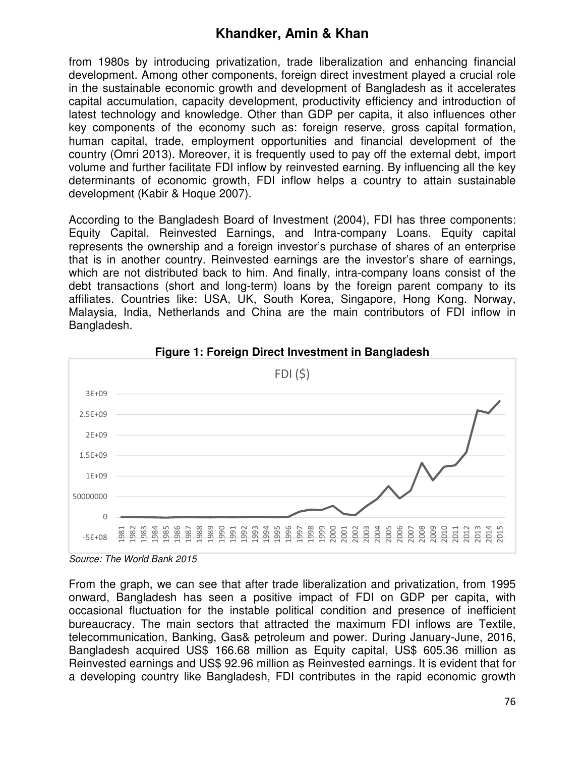from 1980s by introducing privatization, trade liberalization and enhancing financial development. Among other components, foreign direct investment played a crucial role in the sustainable economic growth and development of Bangladesh as it accelerates capital accumulation, capacity development, productivity efficiency and introduction of latest technology and knowledge. Other than GDP per capita, it also influences other key components of the economy such as: foreign reserve, gross capital formation, human capital, trade, employment opportunities and financial development of the country (Omri 2013). Moreover, it is frequently used to pay off the external debt, import volume and further facilitate FDI inflow by reinvested earning. By influencing all the key determinants of economic growth, FDI inflow helps a country to attain sustainable development (Kabir & Hoque 2007).

According to the Bangladesh Board of Investment (2004), FDI has three components: Equity Capital, Reinvested Earnings, and Intra-company Loans. Equity capital represents the ownership and a foreign investor's purchase of shares of an enterprise that is in another country. Reinvested earnings are the investor's share of earnings, which are not distributed back to him. And finally, intra-company loans consist of the debt transactions (short and long-term) loans by the foreign parent company to its affiliates. Countries like: USA, UK, South Korea, Singapore, Hong Kong. Norway, Malaysia, India, Netherlands and China are the main contributors of FDI inflow in Bangladesh.





From the graph, we can see that after trade liberalization and privatization, from 1995 onward, Bangladesh has seen a positive impact of FDI on GDP per capita, with occasional fluctuation for the instable political condition and presence of inefficient bureaucracy. The main sectors that attracted the maximum FDI inflows are Textile, telecommunication, Banking, Gas& petroleum and power. During January-June, 2016, Bangladesh acquired US\$ 166.68 million as Equity capital, US\$ 605.36 million as Reinvested earnings and US\$ 92.96 million as Reinvested earnings. It is evident that for a developing country like Bangladesh, FDI contributes in the rapid economic growth

*Source: The World Bank 2015*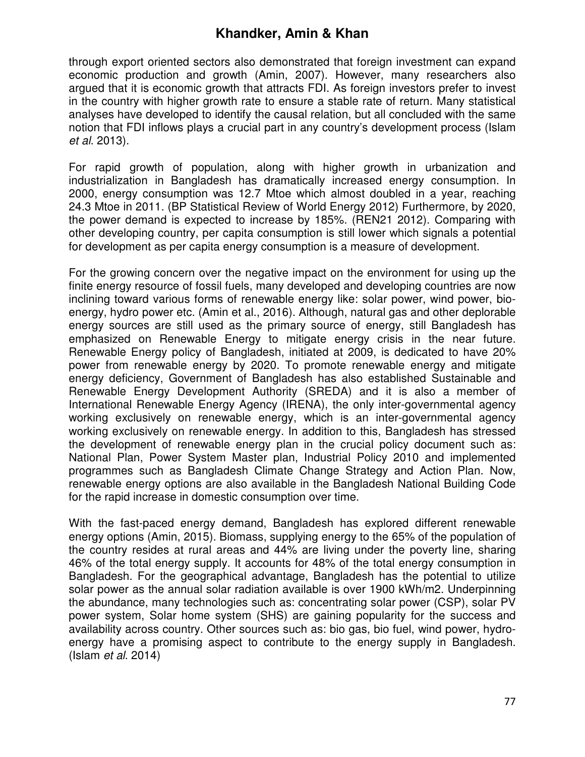through export oriented sectors also demonstrated that foreign investment can expand economic production and growth (Amin, 2007). However, many researchers also argued that it is economic growth that attracts FDI. As foreign investors prefer to invest in the country with higher growth rate to ensure a stable rate of return. Many statistical analyses have developed to identify the causal relation, but all concluded with the same notion that FDI inflows plays a crucial part in any country's development process (Islam *et al*. 2013).

For rapid growth of population, along with higher growth in urbanization and industrialization in Bangladesh has dramatically increased energy consumption. In 2000, energy consumption was 12.7 Mtoe which almost doubled in a year, reaching 24.3 Mtoe in 2011. (BP Statistical Review of World Energy 2012) Furthermore, by 2020, the power demand is expected to increase by 185%. (REN21 2012). Comparing with other developing country, per capita consumption is still lower which signals a potential for development as per capita energy consumption is a measure of development.

For the growing concern over the negative impact on the environment for using up the finite energy resource of fossil fuels, many developed and developing countries are now inclining toward various forms of renewable energy like: solar power, wind power, bioenergy, hydro power etc. (Amin et al., 2016). Although, natural gas and other deplorable energy sources are still used as the primary source of energy, still Bangladesh has emphasized on Renewable Energy to mitigate energy crisis in the near future. Renewable Energy policy of Bangladesh, initiated at 2009, is dedicated to have 20% power from renewable energy by 2020. To promote renewable energy and mitigate energy deficiency, Government of Bangladesh has also established Sustainable and Renewable Energy Development Authority (SREDA) and it is also a member of International Renewable Energy Agency (IRENA), the only inter-governmental agency working exclusively on renewable energy, which is an inter-governmental agency working exclusively on renewable energy. In addition to this, Bangladesh has stressed the development of renewable energy plan in the crucial policy document such as: National Plan, Power System Master plan, Industrial Policy 2010 and implemented programmes such as Bangladesh Climate Change Strategy and Action Plan. Now, renewable energy options are also available in the Bangladesh National Building Code for the rapid increase in domestic consumption over time.

With the fast-paced energy demand, Bangladesh has explored different renewable energy options (Amin, 2015). Biomass, supplying energy to the 65% of the population of the country resides at rural areas and 44% are living under the poverty line, sharing 46% of the total energy supply. It accounts for 48% of the total energy consumption in Bangladesh. For the geographical advantage, Bangladesh has the potential to utilize solar power as the annual solar radiation available is over 1900 kWh/m2. Underpinning the abundance, many technologies such as: concentrating solar power (CSP), solar PV power system, Solar home system (SHS) are gaining popularity for the success and availability across country. Other sources such as: bio gas, bio fuel, wind power, hydroenergy have a promising aspect to contribute to the energy supply in Bangladesh. (Islam *et al*. 2014)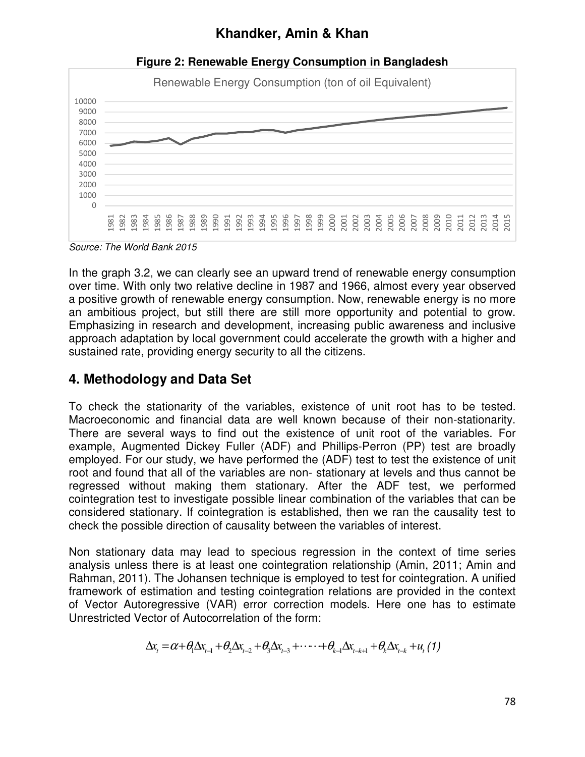

**Figure 2: Renewable Energy Consumption in Bangladesh** 

*Source: The World Bank 2015* 

In the graph 3.2, we can clearly see an upward trend of renewable energy consumption over time. With only two relative decline in 1987 and 1966, almost every year observed a positive growth of renewable energy consumption. Now, renewable energy is no more an ambitious project, but still there are still more opportunity and potential to grow. Emphasizing in research and development, increasing public awareness and inclusive approach adaptation by local government could accelerate the growth with a higher and sustained rate, providing energy security to all the citizens.

# **4. Methodology and Data Set**

To check the stationarity of the variables, existence of unit root has to be tested. Macroeconomic and financial data are well known because of their non-stationarity. There are several ways to find out the existence of unit root of the variables. For example, Augmented Dickey Fuller (ADF) and Phillips-Perron (PP) test are broadly employed. For our study, we have performed the (ADF) test to test the existence of unit root and found that all of the variables are non- stationary at levels and thus cannot be regressed without making them stationary. After the ADF test, we performed cointegration test to investigate possible linear combination of the variables that can be considered stationary. If cointegration is established, then we ran the causality test to check the possible direction of causality between the variables of interest.

Non stationary data may lead to specious regression in the context of time series analysis unless there is at least one cointegration relationship (Amin, 2011; Amin and Rahman, 2011). The Johansen technique is employed to test for cointegration. A unified framework of estimation and testing cointegration relations are provided in the context of Vector Autoregressive (VAR) error correction models. Here one has to estimate Unrestricted Vector of Autocorrelation of the form:

$$
\Delta x_{t} = \alpha + \theta_{1} \Delta x_{t-1} + \theta_{2} \Delta x_{t-2} + \theta_{3} \Delta x_{t-3} + \cdots + \theta_{k-1} \Delta x_{t-k+1} + \theta_{k} \Delta x_{t-k} + u_{t} (1)
$$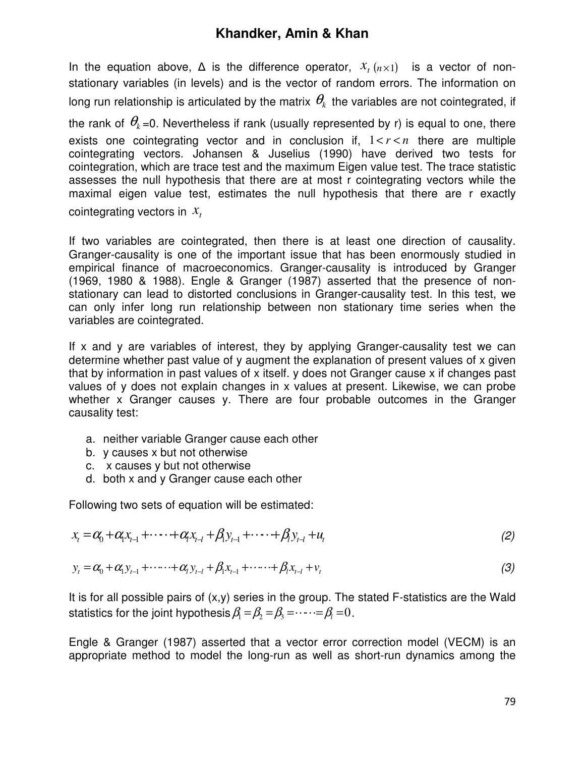In the equation above,  $\Delta$  is the difference operator,  $x_{t}$  ( $n\times1$ ) is a vector of nonstationary variables (in levels) and is the vector of random errors. The information on long run relationship is articulated by the matrix  $\mathbf{\theta}_k$  the variables are not cointegrated, if

the rank of  $\theta_k$  =0. Nevertheless if rank (usually represented by r) is equal to one, there exists one cointegrating vector and in conclusion if,  $1 < r < n$  there are multiple cointegrating vectors. Johansen & Juselius (1990) have derived two tests for cointegration, which are trace test and the maximum Eigen value test. The trace statistic assesses the null hypothesis that there are at most r cointegrating vectors while the maximal eigen value test, estimates the null hypothesis that there are r exactly cointegrating vectors in *<sup>t</sup> x*

If two variables are cointegrated, then there is at least one direction of causality. Granger-causality is one of the important issue that has been enormously studied in empirical finance of macroeconomics. Granger-causality is introduced by Granger (1969, 1980 & 1988). Engle & Granger (1987) asserted that the presence of nonstationary can lead to distorted conclusions in Granger-causality test. In this test, we can only infer long run relationship between non stationary time series when the variables are cointegrated.

If x and y are variables of interest, they by applying Granger-causality test we can determine whether past value of y augment the explanation of present values of x given that by information in past values of x itself. y does not Granger cause x if changes past values of y does not explain changes in x values at present. Likewise, we can probe whether x Granger causes y. There are four probable outcomes in the Granger causality test:

- a. neither variable Granger cause each other
- b. y causes x but not otherwise
- c. x causes y but not otherwise
- d. both x and y Granger cause each other

Following two sets of equation will be estimated:

$$
x_{t} = \alpha_{0} + \alpha_{1}x_{t-1} + \cdots + \alpha_{t}x_{t-1} + \beta_{1}y_{t-1} + \cdots + \beta_{t}y_{t-1} + u_{t}
$$
\n(2)

$$
y_{t} = \alpha_{0} + \alpha_{1} y_{t-1} + \cdots + \alpha_{l} y_{t-l} + \beta_{1} x_{t-1} + \cdots + \beta_{l} x_{t-l} + v_{t}
$$
\n(3)

It is for all possible pairs of (x,y) series in the group. The stated F-statistics are the Wald statistics for the joint hypothesis  $\beta_1 = \beta_2 = \beta_3 = \cdots = \beta_l = 0$ .

Engle & Granger (1987) asserted that a vector error correction model (VECM) is an appropriate method to model the long-run as well as short-run dynamics among the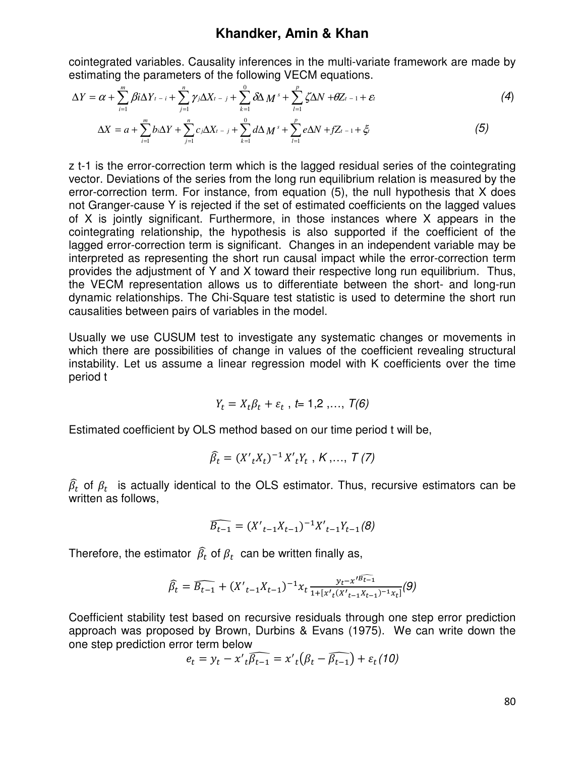cointegrated variables. Causality inferences in the multi-variate framework are made by estimating the parameters of the following VECM equations.

$$
\Delta Y = \alpha + \sum_{i=1}^{m} \beta i \Delta Y_{t-i} + \sum_{j=1}^{n} \gamma_j \Delta X_{t-j} + \sum_{k=1}^{0} \delta \Delta M^{s} + \sum_{l=1}^{p} \zeta \Delta N + \theta Z_{t-1} + \varepsilon_{l}
$$
(4)

$$
\Delta X = a + \sum_{i=1}^{m} b_i \Delta Y + \sum_{j=1}^{n} c_j \Delta X_{t-j} + \sum_{k=1}^{0} d \Delta M^s + \sum_{l=1}^{p} e \Delta N + f Z_{t-1} + \xi_t
$$
(5)

z t-1 is the error-correction term which is the lagged residual series of the cointegrating vector. Deviations of the series from the long run equilibrium relation is measured by the error-correction term. For instance, from equation (5), the null hypothesis that X does not Granger-cause Y is rejected if the set of estimated coefficients on the lagged values of X is jointly significant. Furthermore, in those instances where X appears in the cointegrating relationship, the hypothesis is also supported if the coefficient of the lagged error-correction term is significant. Changes in an independent variable may be interpreted as representing the short run causal impact while the error-correction term provides the adjustment of Y and X toward their respective long run equilibrium. Thus, the VECM representation allows us to differentiate between the short- and long-run dynamic relationships. The Chi-Square test statistic is used to determine the short run causalities between pairs of variables in the model.

Usually we use CUSUM test to investigate any systematic changes or movements in which there are possibilities of change in values of the coefficient revealing structural instability. Let us assume a linear regression model with K coefficients over the time period t

$$
Y_t = X_t \beta_t + \varepsilon_t , t = 1,2, \ldots, T(6)
$$

Estimated coefficient by OLS method based on our time period t will be,

$$
\widehat{\beta}_t = (X'_{t}X_{t})^{-1}X'_{t}Y_{t}, K, ..., T (7)
$$

 $\widehat{\beta_t}$  of  $\beta_t$  is actually identical to the OLS estimator. Thus, recursive estimators can be written as follows,

$$
\widehat{B_{t-1}} = (X'_{t-1}X_{t-1})^{-1}X'_{t-1}Y_{t-1}(\mathcal{B})
$$

Therefore, the estimator  $\widehat{\beta_t}$  of  $\beta_t$  can be written finally as,

$$
\widehat{\beta_t} = \widehat{B_{t-1}} + (X'_{t-1}X_{t-1})^{-1}x_t \frac{y_t - x'^{\widehat{B_{t-1}}}}{1 + [x'_t(X'_{t-1}X_{t-1})^{-1}x_t]}(9)
$$

Coefficient stability test based on recursive residuals through one step error prediction approach was proposed by Brown, Durbins & Evans (1975). We can write down the one step prediction error term below

$$
e_t = y_t - x'\sqrt{t\beta_{t-1}} = x'\sqrt{t(\beta_t - \beta_{t-1})} + \varepsilon_t(10)
$$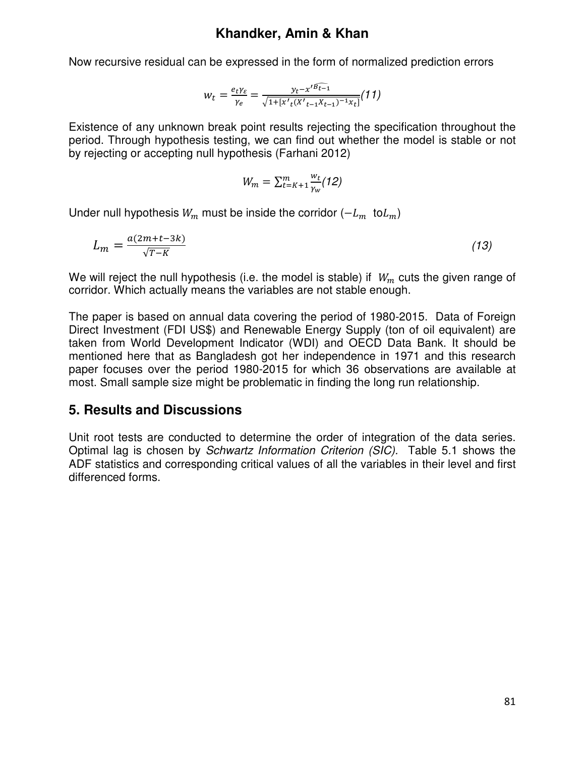Now recursive residual can be expressed in the form of normalized prediction errors

$$
w_t = \frac{e_t \gamma_{\varepsilon}}{\gamma_e} = \frac{y_t - x'^{B_{t-1}}}{\sqrt{1 + [x'_t(x'_{t-1}X_{t-1})^{-1}x_t]}}(11)
$$

Existence of any unknown break point results rejecting the specification throughout the period. Through hypothesis testing, we can find out whether the model is stable or not by rejecting or accepting null hypothesis (Farhani 2012)

$$
W_m = \sum_{t=K+1}^m \frac{w_t}{\gamma_w} (12)
$$

Under null hypothesis  $W_m$  must be inside the corridor ( $-L_m$  to $L_m$ )

$$
L_m = \frac{a(2m+t-3k)}{\sqrt{T-k}}\tag{13}
$$

We will reject the null hypothesis (i.e. the model is stable) if  $W_m$  cuts the given range of corridor. Which actually means the variables are not stable enough.

The paper is based on annual data covering the period of 1980-2015. Data of Foreign Direct Investment (FDI US\$) and Renewable Energy Supply (ton of oil equivalent) are taken from World Development Indicator (WDI) and OECD Data Bank. It should be mentioned here that as Bangladesh got her independence in 1971 and this research paper focuses over the period 1980-2015 for which 36 observations are available at most. Small sample size might be problematic in finding the long run relationship.

#### **5. Results and Discussions**

Unit root tests are conducted to determine the order of integration of the data series. Optimal lag is chosen by *Schwartz Information Criterion (SIC).* Table 5.1 shows the ADF statistics and corresponding critical values of all the variables in their level and first differenced forms.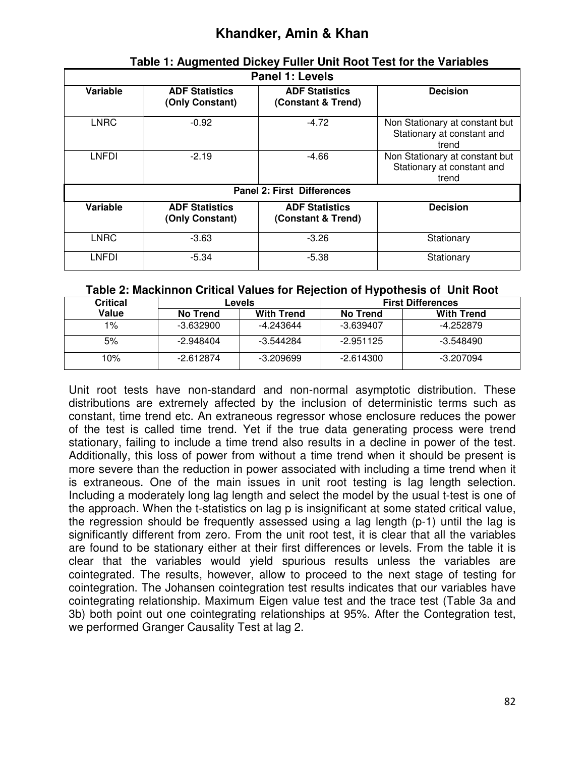| <b>Panel 1: Levels</b> |                                          |                                             |                                                                       |  |  |  |  |
|------------------------|------------------------------------------|---------------------------------------------|-----------------------------------------------------------------------|--|--|--|--|
| Variable               | <b>ADF Statistics</b><br>(Only Constant) | <b>ADF Statistics</b><br>(Constant & Trend) | <b>Decision</b>                                                       |  |  |  |  |
| <b>LNRC</b>            | $-0.92$                                  | $-4.72$                                     | Non Stationary at constant but<br>Stationary at constant and<br>trend |  |  |  |  |
| <b>LNFDI</b>           | $-2.19$                                  | -4.66                                       | Non Stationary at constant but<br>Stationary at constant and<br>trend |  |  |  |  |
|                        | <b>Panel 2: First Differences</b>        |                                             |                                                                       |  |  |  |  |
| <b>Variable</b>        | <b>ADF Statistics</b><br>(Only Constant) | <b>ADF Statistics</b><br>(Constant & Trend) | <b>Decision</b>                                                       |  |  |  |  |
| <b>LNRC</b>            | $-3.63$                                  | $-3.26$                                     | Stationary                                                            |  |  |  |  |
| <b>LNFDI</b>           | $-5.34$                                  | $-5.38$                                     | Stationary                                                            |  |  |  |  |

# **Table 1: Augmented Dickey Fuller Unit Root Test for the Variables**

#### **Table 2: Mackinnon Critical Values for Rejection of Hypothesis of Unit Root**

| Critical | Levels          |                   | - -<br><b>First Differences</b> |                   |  |
|----------|-----------------|-------------------|---------------------------------|-------------------|--|
| Value    | <b>No Trend</b> | <b>With Trend</b> | <b>No Trend</b>                 | <b>With Trend</b> |  |
| 1%       | $-3.632900$     | -4.243644         | $-3.639407$                     | -4.252879         |  |
| 5%       | $-2.948404$     | $-3.544284$       | $-2.951125$                     | $-3.548490$       |  |
| 10%      | $-2.612874$     | $-3.209699$       | $-2.614300$                     | -3.207094         |  |

Unit root tests have non-standard and non-normal asymptotic distribution. These distributions are extremely affected by the inclusion of deterministic terms such as constant, time trend etc. An extraneous regressor whose enclosure reduces the power of the test is called time trend. Yet if the true data generating process were trend stationary, failing to include a time trend also results in a decline in power of the test. Additionally, this loss of power from without a time trend when it should be present is more severe than the reduction in power associated with including a time trend when it is extraneous. One of the main issues in unit root testing is lag length selection. Including a moderately long lag length and select the model by the usual t-test is one of the approach. When the t-statistics on lag p is insignificant at some stated critical value, the regression should be frequently assessed using a lag length (p-1) until the lag is significantly different from zero. From the unit root test, it is clear that all the variables are found to be stationary either at their first differences or levels. From the table it is clear that the variables would yield spurious results unless the variables are cointegrated. The results, however, allow to proceed to the next stage of testing for cointegration. The Johansen cointegration test results indicates that our variables have cointegrating relationship. Maximum Eigen value test and the trace test (Table 3a and 3b) both point out one cointegrating relationships at 95%. After the Contegration test, we performed Granger Causality Test at lag 2.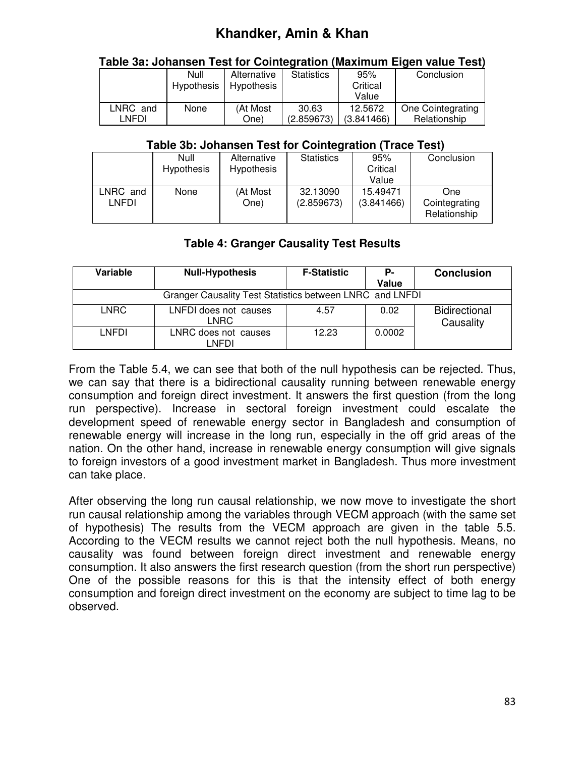|          | Table 3a: Johansen Test for Cointegration (Maximum Eigen value Test) |             |                   |            |                   |
|----------|----------------------------------------------------------------------|-------------|-------------------|------------|-------------------|
|          | Null                                                                 | Alternative | <b>Statistics</b> | 95%        | Conclusion        |
|          | Hypothesis                                                           | Hypothesis  |                   | Critical   |                   |
|          |                                                                      |             |                   | Value      |                   |
| LNRC and | None                                                                 | (At Most    | 30.63             | 12.5672    | One Cointegrating |
| LNFDI    |                                                                      | One)        | (2.859673)        | (3.841466) | Relationship      |

#### **Table 3a: Johansen Test for Cointegration (Maximum Eigen value Test)**

#### **Table 3b: Johansen Test for Cointegration (Trace Test)**

|          | Null              | Alternative       | <b>Statistics</b> | 95%        | Conclusion                    |
|----------|-------------------|-------------------|-------------------|------------|-------------------------------|
|          | <b>Hypothesis</b> | <b>Hypothesis</b> |                   | Critical   |                               |
|          |                   |                   |                   | Value      |                               |
| LNRC and | None              | (At Most          | 32.13090          | 15.49471   | <b>One</b>                    |
| LNFDI    |                   | One)              | (2.859673)        | (3.841466) | Cointegrating<br>Relationship |

#### **Table 4: Granger Causality Test Results**

| Variable    | <b>Null-Hypothesis</b>                                   | <b>F-Statistic</b> | Р-     | <b>Conclusion</b>                 |  |  |
|-------------|----------------------------------------------------------|--------------------|--------|-----------------------------------|--|--|
|             |                                                          |                    | Value  |                                   |  |  |
|             | Granger Causality Test Statistics between LNRC and LNFDI |                    |        |                                   |  |  |
| <b>LNRC</b> | LNFDI does not causes<br>LNRC                            | 4.57               | 0.02   | <b>Bidirectional</b><br>Causality |  |  |
| LNFDI       | LNRC does not causes<br>LNFDI                            | 12.23              | 0.0002 |                                   |  |  |

From the Table 5.4, we can see that both of the null hypothesis can be rejected. Thus, we can say that there is a bidirectional causality running between renewable energy consumption and foreign direct investment. It answers the first question (from the long run perspective). Increase in sectoral foreign investment could escalate the development speed of renewable energy sector in Bangladesh and consumption of renewable energy will increase in the long run, especially in the off grid areas of the nation. On the other hand, increase in renewable energy consumption will give signals to foreign investors of a good investment market in Bangladesh. Thus more investment can take place.

After observing the long run causal relationship, we now move to investigate the short run causal relationship among the variables through VECM approach (with the same set of hypothesis) The results from the VECM approach are given in the table 5.5. According to the VECM results we cannot reject both the null hypothesis. Means, no causality was found between foreign direct investment and renewable energy consumption. It also answers the first research question (from the short run perspective) One of the possible reasons for this is that the intensity effect of both energy consumption and foreign direct investment on the economy are subject to time lag to be observed.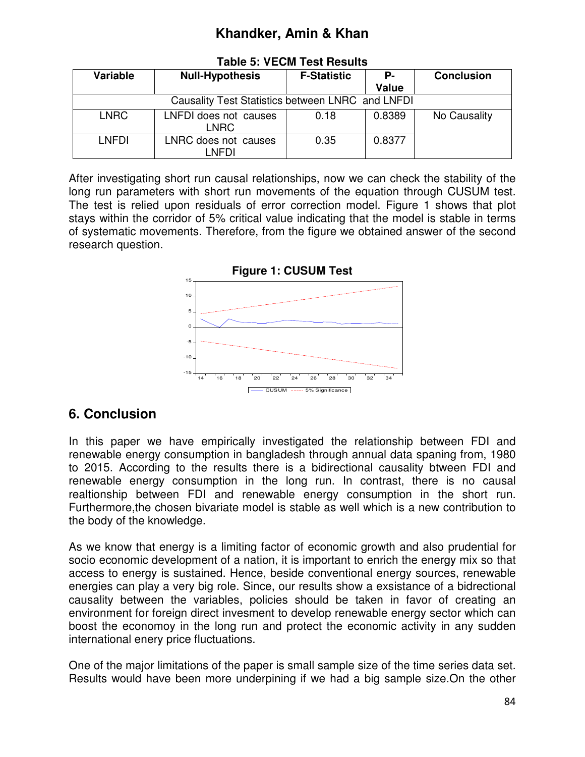| Variable                                         | <b>Null-Hypothesis</b>        | <b>F-Statistic</b> | Р-     | <b>Conclusion</b> |  |
|--------------------------------------------------|-------------------------------|--------------------|--------|-------------------|--|
|                                                  |                               |                    | Value  |                   |  |
| Causality Test Statistics between LNRC and LNFDI |                               |                    |        |                   |  |
| <b>LNRC</b>                                      | LNFDI does not causes<br>LNRC | 0.18               | 0.8389 | No Causality      |  |
| LNFDI                                            | LNRC does not causes<br>LNFDI | 0.35               | 0.8377 |                   |  |

**Table 5: VECM Test Results** 

After investigating short run causal relationships, now we can check the stability of the long run parameters with short run movements of the equation through CUSUM test. The test is relied upon residuals of error correction model. Figure 1 shows that plot stays within the corridor of 5% critical value indicating that the model is stable in terms of systematic movements. Therefore, from the figure we obtained answer of the second research question.



# **6. Conclusion**

In this paper we have empirically investigated the relationship between FDI and renewable energy consumption in bangladesh through annual data spaning from, 1980 to 2015. According to the results there is a bidirectional causality btween FDI and renewable energy consumption in the long run. In contrast, there is no causal realtionship between FDI and renewable energy consumption in the short run. Furthermore,the chosen bivariate model is stable as well which is a new contribution to the body of the knowledge.

As we know that energy is a limiting factor of economic growth and also prudential for socio economic development of a nation, it is important to enrich the energy mix so that access to energy is sustained. Hence, beside conventional energy sources, renewable energies can play a very big role. Since, our results show a exsistance of a bidrectional causality between the variables, policies should be taken in favor of creating an environment for foreign direct invesment to develop renewable energy sector which can boost the economoy in the long run and protect the economic activity in any sudden international enery price fluctuations.

One of the major limitations of the paper is small sample size of the time series data set. Results would have been more underpining if we had a big sample size.On the other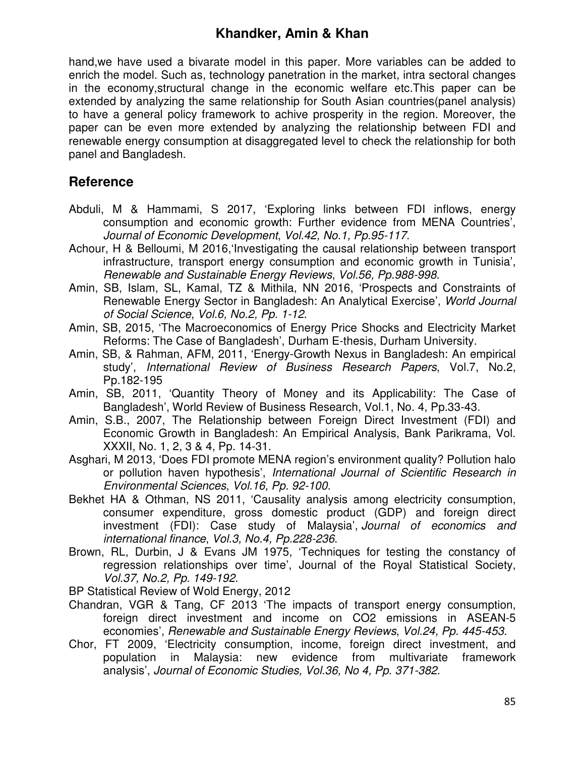hand,we have used a bivarate model in this paper. More variables can be added to enrich the model. Such as, technology panetration in the market, intra sectoral changes in the economy,structural change in the economic welfare etc.This paper can be extended by analyzing the same relationship for South Asian countries(panel analysis) to have a general policy framework to achive prosperity in the region. Moreover, the paper can be even more extended by analyzing the relationship between FDI and renewable energy consumption at disaggregated level to check the relationship for both panel and Bangladesh.

## **Reference**

- Abduli, M & Hammami, S 2017, 'Exploring links between FDI inflows, energy consumption and economic growth: Further evidence from MENA Countries', *Journal of Economic Development*, *Vol.42, No.1, Pp.95-117*.
- Achour, H & Belloumi, M 2016,'Investigating the causal relationship between transport infrastructure, transport energy consumption and economic growth in Tunisia', *Renewable and Sustainable Energy Reviews*, *Vol.56, Pp.988-998*.
- Amin, SB, Islam, SL, Kamal, TZ & Mithila, NN 2016, 'Prospects and Constraints of Renewable Energy Sector in Bangladesh: An Analytical Exercise', *World Journal of Social Science*, *Vol.6, No.2, Pp. 1-12*.
- Amin, SB, 2015, 'The Macroeconomics of Energy Price Shocks and Electricity Market Reforms: The Case of Bangladesh', Durham E-thesis, Durham University.
- Amin, SB, & Rahman, AFM, 2011, 'Energy-Growth Nexus in Bangladesh: An empirical study', *International Review of Business Research Papers*, Vol.7, No.2, Pp.182-195
- Amin, SB, 2011, 'Quantity Theory of Money and its Applicability: The Case of Bangladesh', World Review of Business Research, Vol.1, No. 4, Pp.33-43.
- Amin, S.B., 2007, The Relationship between Foreign Direct Investment (FDI) and Economic Growth in Bangladesh: An Empirical Analysis, Bank Parikrama, Vol. XXXII, No. 1, 2, 3 & 4, Pp. 14-31.
- Asghari, M 2013, 'Does FDI promote MENA region's environment quality? Pollution halo or pollution haven hypothesis', *International Journal of Scientific Research in Environmental Sciences*, *Vol.16, Pp. 92-100*.
- Bekhet HA & Othman, NS 2011, 'Causality analysis among electricity consumption, consumer expenditure, gross domestic product (GDP) and foreign direct investment (FDI): Case study of Malaysia', *Journal of economics and international finance*, *Vol.3, No.4, Pp.228-236*.
- Brown, RL, Durbin, J & Evans JM 1975, 'Techniques for testing the constancy of regression relationships over time', Journal of the Royal Statistical Society, *Vol.37, No.2, Pp. 149-192*.
- BP Statistical Review of Wold Energy, 2012
- Chandran, VGR & Tang, CF 2013 'The impacts of transport energy consumption, foreign direct investment and income on CO2 emissions in ASEAN-5 economies', *Renewable and Sustainable Energy Reviews*, *Vol.24, Pp. 445-453*.
- Chor, FT 2009, 'Electricity consumption, income, foreign direct investment, and population in Malaysia: new evidence from multivariate framework analysis', *Journal of Economic Studies, Vol.36, No 4, Pp. 371-382*.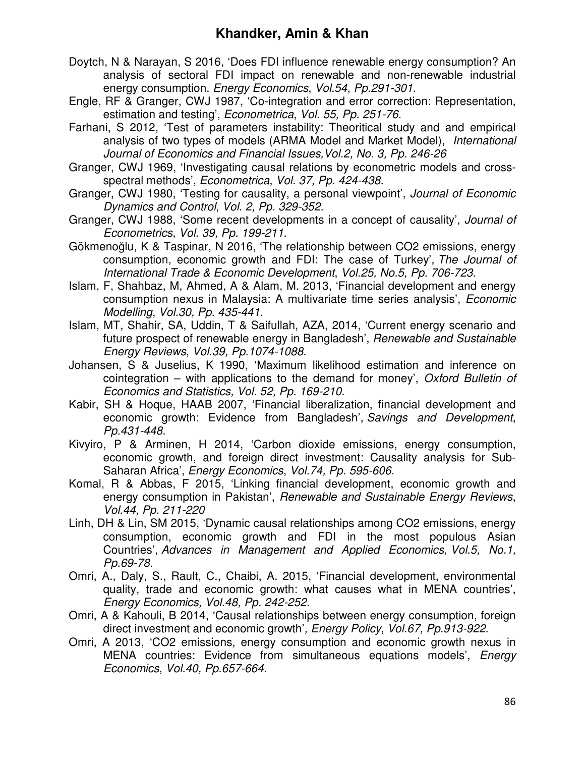- Doytch, N & Narayan, S 2016, 'Does FDI influence renewable energy consumption? An analysis of sectoral FDI impact on renewable and non-renewable industrial energy consumption. *Energy Economics*, *Vol.54, Pp.291-301*.
- Engle, RF & Granger, CWJ 1987, 'Co-integration and error correction: Representation, estimation and testing', *Econometrica*, *Vol. 55, Pp. 251-76*.
- Farhani, S 2012, 'Test of parameters instability: Theoritical study and and empirical analysis of two types of models (ARMA Model and Market Model), *International*  Journal of Economics and Financial Issues, Vol.2, No. 3, Pp. 246-26
- Granger, CWJ 1969, 'Investigating causal relations by econometric models and crossspectral methods', *Econometrica*, *Vol. 37, Pp. 424-438*.
- Granger, CWJ 1980, 'Testing for causality, a personal viewpoint', *Journal of Economic Dynamics and Control*, *Vol. 2, Pp. 329-352*.
- Granger, CWJ 1988, 'Some recent developments in a concept of causality', *Journal of Econometrics*, *Vol. 39, Pp. 199-211*.
- Gökmenoğlu, K & Taspinar, N 2016, 'The relationship between CO2 emissions, energy consumption, economic growth and FDI: The case of Turkey', *The Journal of International Trade & Economic Development*, *Vol.25, No.5, Pp. 706-723*.
- Islam, F, Shahbaz, M, Ahmed, A & Alam, M. 2013, 'Financial development and energy consumption nexus in Malaysia: A multivariate time series analysis', *Economic Modelling*, *Vol.30, Pp. 435-441*.
- Islam, MT, Shahir, SA, Uddin, T & Saifullah, AZA, 2014, 'Current energy scenario and future prospect of renewable energy in Bangladesh', *Renewable and Sustainable Energy Reviews*, *Vol.39, Pp.1074-1088*.
- Johansen, S & Juselius, K 1990, 'Maximum likelihood estimation and inference on cointegration – with applications to the demand for money', *Oxford Bulletin of Economics and Statistics, Vol. 52, Pp. 169-210*.
- Kabir, SH & Hoque, HAAB 2007, 'Financial liberalization, financial development and economic growth: Evidence from Bangladesh', *Savings and Development*, *Pp.431-448*.
- Kivyiro, P & Arminen, H 2014, 'Carbon dioxide emissions, energy consumption, economic growth, and foreign direct investment: Causality analysis for Sub-Saharan Africa', *Energy Economics*, *Vol.74, Pp. 595-606*.
- Komal, R & Abbas, F 2015, 'Linking financial development, economic growth and energy consumption in Pakistan', *Renewable and Sustainable Energy Reviews*, *Vol.44, Pp. 211-220*
- Linh, DH & Lin, SM 2015, 'Dynamic causal relationships among CO2 emissions, energy consumption, economic growth and FDI in the most populous Asian Countries', *Advances in Management and Applied Economics*, *Vol.5, No.1, Pp.69-78.*
- Omri, A., Daly, S., Rault, C., Chaibi, A. 2015, 'Financial development, environmental quality, trade and economic growth: what causes what in MENA countries', *Energy Economics, Vol.48, Pp. 242-252.*
- Omri, A & Kahouli, B 2014, 'Causal relationships between energy consumption, foreign direct investment and economic growth'*, Energy Policy*, *Vol.67, Pp.913-922*.
- Omri, A 2013, 'CO2 emissions, energy consumption and economic growth nexus in MENA countries: Evidence from simultaneous equations models', *Energy Economics*, *Vol.40, Pp.657-664*.